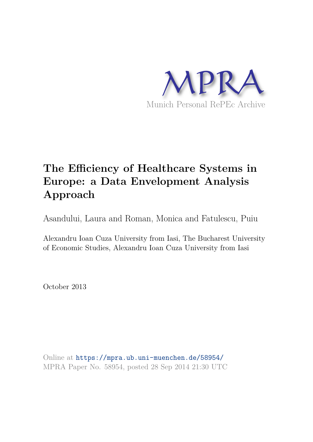

# **The Efficiency of Healthcare Systems in Europe: a Data Envelopment Analysis Approach**

Asandului, Laura and Roman, Monica and Fatulescu, Puiu

Alexandru Ioan Cuza University from Iasi, The Bucharest University of Economic Studies, Alexandru Ioan Cuza University from Iasi

October 2013

Online at https://mpra.ub.uni-muenchen.de/58954/ MPRA Paper No. 58954, posted 28 Sep 2014 21:30 UTC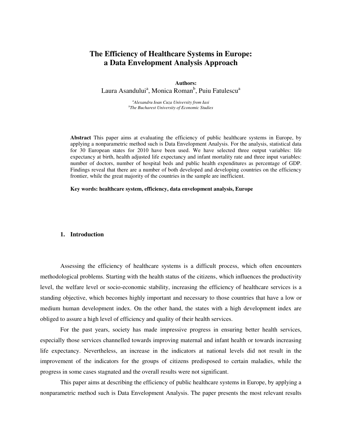# **The Efficiency of Healthcare Systems in Europe: a Data Envelopment Analysis Approach**

**Authors:**  Laura Asandului<sup>a</sup>, Monica Roman<sup>b</sup>, Puiu Fatulescu<sup>a</sup>

> *<sup>a</sup>Alexandru Ioan Cuza University from Iasi b The Bucharest University of Economic Studies*

**Abstract** This paper aims at evaluating the efficiency of public healthcare systems in Europe, by applying a nonparametric method such is Data Envelopment Analysis. For the analysis, statistical data for 30 European states for 2010 have been used. We have selected three output variables: life expectancy at birth, health adjusted life expectancy and infant mortality rate and three input variables: number of doctors, number of hospital beds and public health expenditures as percentage of GDP. Findings reveal that there are a number of both developed and developing countries on the efficiency frontier, while the great majority of the countries in the sample are inefficient.

**Key words: healthcare system, efficiency, data envelopment analysis, Europe** 

## **1. Introduction**

Assessing the efficiency of healthcare systems is a difficult process, which often encounters methodological problems. Starting with the health status of the citizens, which influences the productivity level, the welfare level or socio-economic stability, increasing the efficiency of healthcare services is a standing objective, which becomes highly important and necessary to those countries that have a low or medium human development index. On the other hand, the states with a high development index are obliged to assure a high level of efficiency and quality of their health services.

For the past years, society has made impressive progress in ensuring better health services, especially those services channelled towards improving maternal and infant health or towards increasing life expectancy. Nevertheless, an increase in the indicators at national levels did not result in the improvement of the indicators for the groups of citizens predisposed to certain maladies, while the progress in some cases stagnated and the overall results were not significant.

This paper aims at describing the efficiency of public healthcare systems in Europe, by applying a nonparametric method such is Data Envelopment Analysis. The paper presents the most relevant results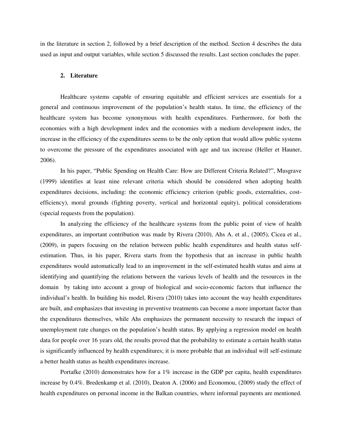in the literature in section 2, followed by a brief description of the method. Section 4 describes the data used as input and output variables, while section 5 discussed the results. Last section concludes the paper.

# **2. Literature**

Healthcare systems capable of ensuring equitable and efficient services are essentials for a general and continuous improvement of the population's health status. In time, the efficiency of the healthcare system has become synonymous with health expenditures. Furthermore, for both the economies with a high development index and the economies with a medium development index, the increase in the efficiency of the expenditures seems to be the only option that would allow public systems to overcome the pressure of the expenditures associated with age and tax increase (Heller et Hauner, 2006).

In his paper, "Public Spending on Health Care: How are Different Criteria Related?", Musgrave (1999) identifies at least nine relevant criteria which should be considered when adopting health expenditures decisions, including: the economic efficiency criterion (public goods, externalities, costefficiency), moral grounds (fighting poverty, vertical and horizontal equity), political considerations (special requests from the population).

In analyzing the efficiency of the healthcare systems from the public point of view of health expenditures, an important contribution was made by Rivera (2010), Ahs A. et al., (2005), Cicea et al., (2009), in papers focusing on the relation between public health expenditures and health status selfestimation. Thus, in his paper, Rivera starts from the hypothesis that an increase in public health expenditures would automatically lead to an improvement in the self-estimated health status and aims at identifying and quantifying the relations between the various levels of health and the resources in the domain by taking into account a group of biological and socio-economic factors that influence the individual's health. In building his model, Rivera (2010) takes into account the way health expenditures are built, and emphasizes that investing in preventive treatments can become a more important factor than the expenditures themselves, while Ahs emphasizes the permanent necessity to research the impact of unemployment rate changes on the population's health status. By applying a regression model on health data for people over 16 years old, the results proved that the probability to estimate a certain health status is significantly influenced by health expenditures; it is more probable that an individual will self-estimate a better health status as health expenditures increase.

Portafke (2010) demonstrates how for a 1% increase in the GDP per capita, health expenditures increase by 0.4%. Bredenkamp et al. (2010), Deaton A. (2006) and Economou, (2009) study the effect of health expenditures on personal income in the Balkan countries, where informal payments are mentioned.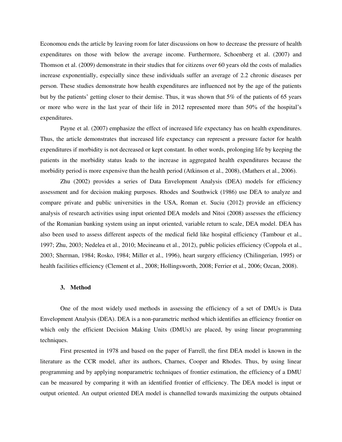Economou ends the article by leaving room for later discussions on how to decrease the pressure of health expenditures on those with below the average income. Furthermore, Schoenberg et al. (2007) and Thomson et al. (2009) demonstrate in their studies that for citizens over 60 years old the costs of maladies increase exponentially, especially since these individuals suffer an average of 2.2 chronic diseases per person. These studies demonstrate how health expenditures are influenced not by the age of the patients but by the patients' getting closer to their demise. Thus, it was shown that 5% of the patients of 65 years or more who were in the last year of their life in 2012 represented more than 50% of the hospital's expenditures.

Payne et al. (2007) emphasize the effect of increased life expectancy has on health expenditures. Thus, the article demonstrates that increased life expectancy can represent a pressure factor for health expenditures if morbidity is not decreased or kept constant. In other words, prolonging life by keeping the patients in the morbidity status leads to the increase in aggregated health expenditures because the morbidity period is more expensive than the health period (Atkinson et al., 2008), (Mathers et al., 2006).

Zhu (2002) provides a series of Data Envelopment Analysis (DEA) models for efficiency assessment and for decision making purposes. Rhodes and Southwick (1986) use DEA to analyze and compare private and public universities in the USA, Roman et. Suciu (2012) provide an efficiency analysis of research activities using input oriented DEA models and Nitoi (2008) assesses the efficiency of the Romanian banking system using an input oriented, variable return to scale, DEA model. DEA has also been used to assess different aspects of the medical field like hospital efficiency (Tambour et al., 1997; Zhu, 2003; Nedelea et al., 2010; Mecineanu et al., 2012), public policies efficiency (Coppola et al., 2003; Sherman, 1984; Rosko, 1984; Miller et al., 1996), heart surgery efficiency (Chilingerian, 1995) or health facilities efficiency (Clement et al., 2008; Hollingsworth, 2008; Ferrier et al., 2006; Ozcan, 2008).

### **3. Method**

One of the most widely used methods in assessing the efficiency of a set of DMUs is Data Envelopment Analysis (DEA). DEA is a non-parametric method which identifies an efficiency frontier on which only the efficient Decision Making Units (DMUs) are placed, by using linear programming techniques.

First presented in 1978 and based on the paper of Farrell, the first DEA model is known in the literature as the CCR model, after its authors, Charnes, Cooper and Rhodes. Thus, by using linear programming and by applying nonparametric techniques of frontier estimation, the efficiency of a DMU can be measured by comparing it with an identified frontier of efficiency. The DEA model is input or output oriented. An output oriented DEA model is channelled towards maximizing the outputs obtained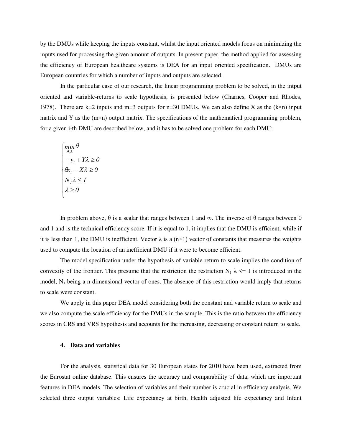by the DMUs while keeping the inputs constant, whilst the input oriented models focus on minimizing the inputs used for processing the given amount of outputs. In present paper, the method applied for assessing the efficiency of European healthcare systems is DEA for an input oriented specification. DMUs are European countries for which a number of inputs and outputs are selected.

In the particular case of our research, the linear programming problem to be solved, in the intput oriented and variable-returns to scale hypothesis, is presented below (Charnes, Cooper and Rhodes, 1978). There are k=2 inputs and m=3 outputs for n=30 DMUs. We can also define X as the  $(k \times n)$  input matrix and Y as the  $(m \times n)$  output matrix. The specifications of the mathematical programming problem, for a given i-th DMU are described below, and it has to be solved one problem for each DMU:

$$
\begin{cases}\n\min_{\theta,\lambda} \theta \\
-y_i + Y\lambda \ge 0 \\
\theta x_i - X\lambda \ge 0 \\
N_i \lambda \le 1 \\
\lambda \ge 0\n\end{cases}
$$

In problem above,  $\theta$  is a scalar that ranges between 1 and  $\infty$ . The inverse of  $\theta$  ranges between 0 and 1 and is the technical efficiency score. If it is equal to 1, it implies that the DMU is efficient, while if it is less than 1, the DMU is inefficient. Vector  $\lambda$  is a (n×1) vector of constants that measures the weights used to compute the location of an inefficient DMU if it were to become efficient.

The model specification under the hypothesis of variable return to scale implies the condition of convexity of the frontier. This presume that the restriction the restriction  $N_1 \lambda \leq 1$  is introduced in the model,  $N_1$  being a n-dimensional vector of ones. The absence of this restriction would imply that returns to scale were constant.

We apply in this paper DEA model considering both the constant and variable return to scale and we also compute the scale efficiency for the DMUs in the sample. This is the ratio between the efficiency scores in CRS and VRS hypothesis and accounts for the increasing, decreasing or constant return to scale.

# **4. Data and variables**

For the analysis, statistical data for 30 European states for 2010 have been used, extracted from the Eurostat online database. This ensures the accuracy and comparability of data, which are important features in DEA models. The selection of variables and their number is crucial in efficiency analysis. We selected three output variables: Life expectancy at birth, Health adjusted life expectancy and Infant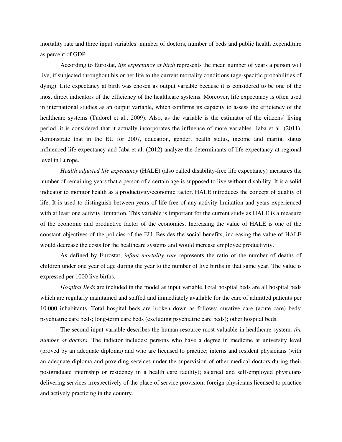mortality rate and three input variables: number of doctors, number of beds and public health expenditure as percent of GDP.

According to Eurostat, *life expectancy at birth* represents the mean number of years a person will live, if subjected throughout his or her life to the current mortality conditions (age-specific probabilities of dying). Life expectancy at birth was chosen as output variable because it is considered to be one of the most direct indicators of the efficiency of the healthcare systems. Moreover, life expectancy is often used in international studies as an output variable, which confirms its capacity to assess the efficiency of the healthcare systems (Tudorel et al., 2009). Also, as the variable is the estimator of the citizens' living period, it is considered that it actually incorporates the influence of more variables. Jaba et al. (2011), demonstrate that in the EU for 2007, education, gender, health status, income and marital status influenced life expectancy and Jaba et al. (2012) analyze the determinants of life expectancy at regional level in Europe.

*Health adjusted life expectancy* (HALE) (also called disability-free life expectancy) measures the number of remaining years that a person of a certain age is supposed to live without disability. It is a solid indicator to monitor health as a productivity/economic factor. HALE introduces the concept of quality of life. It is used to distinguish between years of life free of any activity limitation and years experienced with at least one activity limitation. This variable is important for the current study as HALE is a measure of the economic and productive factor of the economies. Increasing the value of HALE is one of the constant objectives of the policies of the EU. Besides the social benefits, increasing the value of HALE would decrease the costs for the healthcare systems and would increase employee productivity.

As defined by Eurostat, *infant mortality rate* represents the ratio of the number of deaths of children under one year of age during the year to the number of live births in that same year. The value is expressed per 1000 live births.

*Hospital Beds* are included in the model as input variable.Total hospital beds are all hospital beds which are regularly maintained and staffed and immediately available for the care of admitted patients per 10.000 inhabitants. Total hospital beds are broken down as follows: curative care (acute care) beds; psychiatric care beds; long-term care beds (excluding psychiatric care beds); other hospital beds.

The second input variable describes the human resource most valuable in healthcare system: *the number of doctors*. The indictor includes: persons who have a degree in medicine at university level (proved by an adequate diploma) and who are licensed to practice; interns and resident physicians (with an adequate diploma and providing services under the supervision of other medical doctors during their postgraduate internship or residency in a health care facility); salaried and self-employed physicians delivering services irrespectively of the place of service provision; foreign physicians licensed to practice and actively practicing in the country.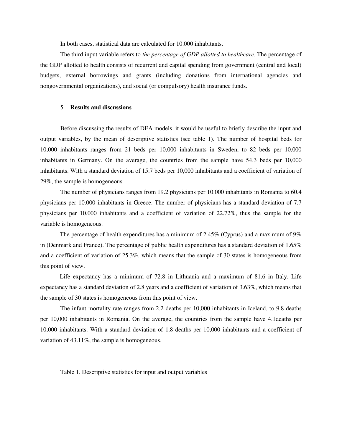In both cases, statistical data are calculated for 10.000 inhabitants.

The third input variable refers to *the percentage of GDP allotted to healthcare*. The percentage of the GDP allotted to health consists of recurrent and capital spending from government (central and local) budgets, external borrowings and grants (including donations from international agencies and nongovernmental organizations), and social (or compulsory) health insurance funds.

# 5. **Results and discussions**

Before discussing the results of DEA models, it would be useful to briefly describe the input and output variables, by the mean of descriptive statistics (see table 1). The number of hospital beds for 10,000 inhabitants ranges from 21 beds per 10,000 inhabitants in Sweden, to 82 beds per 10,000 inhabitants in Germany. On the average, the countries from the sample have 54.3 beds per 10,000 inhabitants. With a standard deviation of 15.7 beds per 10,000 inhabitants and a coefficient of variation of 29%, the sample is homogeneous.

The number of physicians ranges from 19.2 physicians per 10.000 inhabitants in Romania to 60.4 physicians per 10.000 inhabitants in Greece. The number of physicians has a standard deviation of 7.7 physicians per 10.000 inhabitants and a coefficient of variation of 22.72%, thus the sample for the variable is homogeneous.

The percentage of health expenditures has a minimum of  $2.45\%$  (Cyprus) and a maximum of 9% in (Denmark and France). The percentage of public health expenditures has a standard deviation of 1.65% and a coefficient of variation of 25.3%, which means that the sample of 30 states is homogeneous from this point of view.

Life expectancy has a minimum of 72.8 in Lithuania and a maximum of 81.6 in Italy. Life expectancy has a standard deviation of 2.8 years and a coefficient of variation of 3.63%, which means that the sample of 30 states is homogeneous from this point of view.

The infant mortality rate ranges from 2.2 deaths per 10,000 inhabitants in Iceland, to 9.8 deaths per 10,000 inhabitants in Romania. On the average, the countries from the sample have 4.1deaths per 10,000 inhabitants. With a standard deviation of 1.8 deaths per 10,000 inhabitants and a coefficient of variation of 43.11%, the sample is homogeneous.

#### Table 1. Descriptive statistics for input and output variables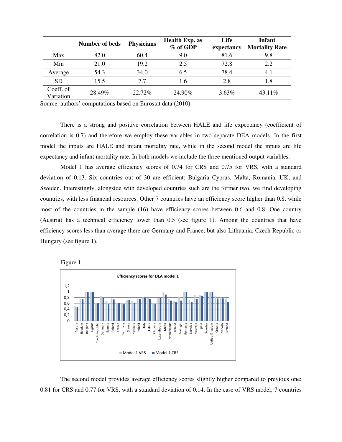|                        | Number of beds | <b>Physicians</b> | <b>Health Exp. as</b><br>% of GDP | Life<br>expectancy | Infant<br><b>Mortality Rate</b> |
|------------------------|----------------|-------------------|-----------------------------------|--------------------|---------------------------------|
| Max                    | 82.0           | 60.4              | 9.0                               | 81.6               | 9.8                             |
| Min                    | 21.0           | 19.2              | 2.5                               | 72.8               | 2.2                             |
| Average                | 54.3           | 34.0              | 6.5                               | 78.4               | 4.1                             |
| <b>SD</b>              | 15.5           | 7.7               | 1.6                               | 2.8                | 1.8                             |
| Coeff. of<br>Variation | 28.49%         | 22.72%            | 24.90%                            | $3.63\%$           | 43.11%                          |

Source: authors' computations based on Eurostat data (2010)

There is a strong and positive correlation between HALE and life expectancy (coefficient of correlation is 0.7) and therefore we employ these variables in two separate DEA models. In the first model the inputs are HALE and infant mortality rate, while in the second model the inputs are life expectancy and infant mortality rate. In both models we include the three mentioned output variables.

Model 1 has average efficiency scores of 0.74 for CRS and 0.75 for VRS, with a standard deviation of 0.13. Six countries out of 30 are efficient: Bulgaria Cyprus, Malta, Romania, UK, and Sweden. Interestingly, alongside with developed countries such are the former two, we find developing countries, with less financial resources. Other 7 countries have an efficiency score higher than 0.8, while most of the countries in the sample (16) have efficiency scores between 0.6 and 0.8. One country (Austria) has a technical efficiency lower than 0.5 (see figure 1). Among the countries that have efficiency scores less than average there are Germany and France, but also Lithuania, Czech Republic or Hungary (see figure 1).





The second model provides average efficiency scores slightly higher compared to previous one: 0.81 for CRS and 0.77 for VRS, with a standard deviation of 0.14. In the case of VRS model, 7 countries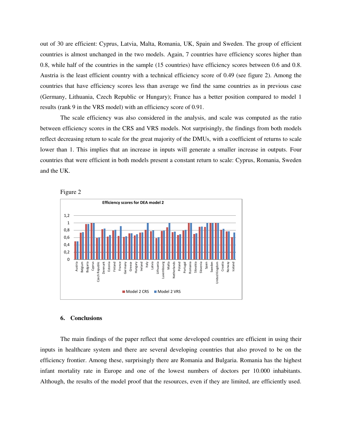out of 30 are efficient: Cyprus, Latvia, Malta, Romania, UK, Spain and Sweden. The group of efficient countries is almost unchanged in the two models. Again, 7 countries have efficiency scores higher than 0.8, while half of the countries in the sample (15 countries) have efficiency scores between 0.6 and 0.8. Austria is the least efficient country with a technical efficiency score of 0.49 (see figure 2). Among the countries that have efficiency scores less than average we find the same countries as in previous case (Germany, Lithuania, Czech Republic or Hungary); France has a better position compared to model 1 results (rank 9 in the VRS model) with an efficiency score of 0.91.

The scale efficiency was also considered in the analysis, and scale was computed as the ratio between efficiency scores in the CRS and VRS models. Not surprisingly, the findings from both models reflect decreasing return to scale for the great majority of the DMUs, with a coefficient of returns to scale lower than 1. This implies that an increase in inputs will generate a smaller increase in outputs. Four countries that were efficient in both models present a constant return to scale: Cyprus, Romania, Sweden and the UK.



#### **6. Conclusions**

The main findings of the paper reflect that some developed countries are efficient in using their inputs in healthcare system and there are several developing countries that also proved to be on the efficiency frontier. Among these, surprisingly there are Romania and Bulgaria. Romania has the highest infant mortality rate in Europe and one of the lowest numbers of doctors per 10.000 inhabitants. Although, the results of the model proof that the resources, even if they are limited, are efficiently used.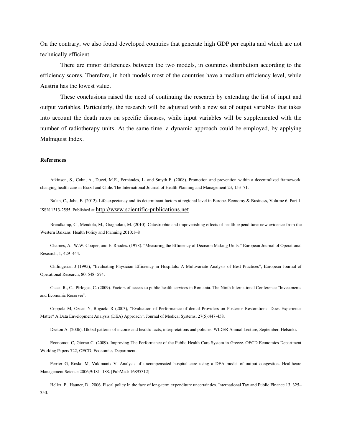On the contrary, we also found developed countries that generate high GDP per capita and which are not technically efficient.

There are minor differences between the two models, in countries distribution according to the efficiency scores. Therefore, in both models most of the countries have a medium efficiency level, while Austria has the lowest value.

These conclusions raised the need of continuing the research by extending the list of input and output variables. Particularly, the research will be adjusted with a new set of output variables that takes into account the death rates on specific diseases, while input variables will be supplemented with the number of radiotherapy units. At the same time, a dynamic approach could be employed, by applying Malmquist Index.

#### **References**

Atkinson, S., Cohn, A., Ducci, M.E., Fernándes, L. and Smyth F. (2008). Promotion and prevention within a decentralized framework: changing health care in Brazil and Chile. The International Journal of Health Planning and Management 23, 153–71.

Balan, C., Jaba, E. (2012). Life expectancy and its determinant factors at regional level in Europe. Economy & Business, Volume 6, Part 1. ISSN 1313-2555, Published at [http://www.scientific-publications.net](http://www.scientific-publications.net/)

Brendkamp, C., Mendola, M., Gragnolati, M. (2010). Catastrophic and impoverishing effects of health expenditure: new evidence from the Western Balkans. Health Policy and Planning 2010;1–8

Charnes, A., W.W. Cooper, and E. Rhodes. (1978). "Measuring the Efficiency of Decision Making Units." European Journal of Operational Research, 1, 429–444.

Chilingerian J (1995), "Evaluating Physician Efficiency in Hospitals: A Multivariate Analysis of Best Practices", European Journal of Operational Research, 80, 548- 574.

Cicea, R., C., Pîrlogea, C. (2009). Factors of access to public health services in Romania. The Ninth International Conference "Investments and Economic Recorver".

Coppola M, Ozcan Y, Bogacki R (2003), "Evaluation of Performance of dental Providers on Posterior Restorations: Does Experience Matter? A Data Envelopment Analysis (DEA) Approach", Journal of Medical Systems, 27(5):447-458.

Deaton A. (2006). Global patterns of income and health: facts, interpretations and policies. WIDER Annual Lecture, September, Helsinki.

Economou C, Giorno C. (2009). Improving The Performance of the Public Health Care System in Greece. OECD Economics Department Working Papers 722, OECD, Economics Department.

Ferrier G, Rosko M, Valdmanis V. Analysis of uncompensated hospital care using a DEA model of output congestion. Healthcare Management Science 2006;9:181–188. [PubMed: 16895312]

Heller, P., Hauner, D., 2006. Fiscal policy in the face of long-term expenditure uncertainties. International Tax and Public Finance 13, 325– 350.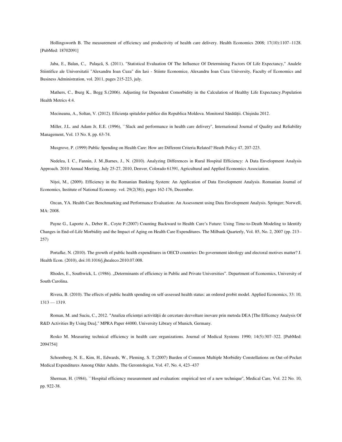Hollingsworth B. The measurement of efficiency and productivity of health care delivery. Health Economics 2008; 17(10):1107–1128. [PubMed: 18702091]

Jaba, E., Balan, C., Palaşcă, S. (2011). "Statistical Evaluation Of The Influence Of Determining Factors Of Life Expectancy," Analele Stiintifice ale Universitatii "Alexandru Ioan Cuza" din Iasi - Stiinte Economice, Alexandru Ioan Cuza University, Faculty of Economics and Business Administration, vol. 2011, pages 215-223, july.

Mathers, C., Iburg K., Begg S.(2006). Adjusting for Dependent Comorbidity in the Calculation of Healthy Life Expectancy.Population Health Metrics 4:4.

Mecineanu, A., Soltan, V. (2012). Eficiența spitalelor publice din Republica Moldova. Monitorul Sănătății. Chișinău 2012.

Miller, J.L. and Adam Jr, E.E. (1996), ``Slack and performance in health care delivery'', International Journal of Quality and Reliability Management, Vol. 13 No. 8, pp. 63-74.

Musgrove, P. (1999) Public Spending on Health Care: How are Different Criteria Related? Heath Policy 47, 207-223.

Nedelea, I. C., Fannin, J. M.,Barnes, J., N. (2010). Analyzing Differences in Rural Hospital Efficiency: A Data Envelopment Analysis Approach. 2010 Annual Meeting, July 25-27, 2010, Denver, Colorado 61391, Agricultural and Applied Economics Association.

Nițoi, M., (2009). Efficiency in the Romanian Banking System: An Application of Data Envelopment Analysis. Romanian Journal of Economics, Institute of National Economy. vol. 29(2(38)), pages 162-176, December.

Ozcan, YA. Health Care Benchmarking and Performance Evaluation: An Assessment using Data Envelopment Analysis. Springer; Norwell, MA: 2008.

Payne G., Laporte A., Deber R., Coyte P.(2007) Counting Backward to Health Care's Future: Using Time-to-Death Modeling to Identify Changes in End-of-Life Morbidity and the Impact of Aging on Health Care Expenditures. The Milbank Quarterly, Vol. 85, No. 2, 2007 (pp. 213– 257)

Portafke, N. (2010). The growth of public health expenditures in OECD countries: Do government ideology and electoral motives matter? J. Health Econ. (2010), doi:10.1016/j.jhealeco.2010.07.008.

Rhodes, E., Southwick, L. (1986). "Determinants of efficiency in Public and Private Universities". Department of Economics, University of South Carolina.

Rivera, B. (2010). The effects of public health spending on self-assessed health status: an ordered probit model. Applied Economics, 33: 10,  $1313 - 1319.$ 

Roman, M. and Suciu, C., 2012. "Analiza eficientei activității de cercetare dezvoltare inovare prin metoda DEA [The Efficency Analysis Of R&D Activities By Using Dea]," MPRA Paper 44000, University Library of Munich, Germany.

Rosko M. Measuring technical efficiency in health care organizations. Journal of Medical Systems 1990; 14(5):307–322. [PubMed: 2094754]

Schoenberg, N. E., Kim, H., Edwards, W., Fleming, S. T.(2007) Burden of Common Multiple Morbidity Constellations on Out-of-Pocket Medical Expenditures Among Older Adults. The Gerontologist, Vol. 47, No. 4, 423–437

Sherman, H. (1984), "Hospital efficiency measurement and evaluation: empirical test of a new technique", Medical Care, Vol. 22 No. 10, pp. 922-38.